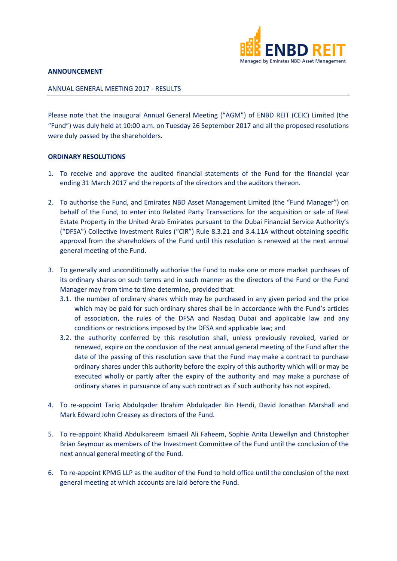

## **ANNOUNCEMENT**

## ANNUAL GENERAL MEETING 2017 - RESULTS

Please note that the inaugural Annual General Meeting ("AGM") of ENBD REIT (CEIC) Limited (the "Fund") was duly held at 10:00 a.m. on Tuesday 26 September 2017 and all the proposed resolutions were duly passed by the shareholders.

## **ORDINARY RESOLUTIONS**

- 1. To receive and approve the audited financial statements of the Fund for the financial year ending 31 March 2017 and the reports of the directors and the auditors thereon.
- 2. To authorise the Fund, and Emirates NBD Asset Management Limited (the "Fund Manager") on behalf of the Fund, to enter into Related Party Transactions for the acquisition or sale of Real Estate Property in the United Arab Emirates pursuant to the Dubai Financial Service Authority's ("DFSA") Collective Investment Rules ("CIR") Rule 8.3.21 and 3.4.11A without obtaining specific approval from the shareholders of the Fund until this resolution is renewed at the next annual general meeting of the Fund.
- 3. To generally and unconditionally authorise the Fund to make one or more market purchases of its ordinary shares on such terms and in such manner as the directors of the Fund or the Fund Manager may from time to time determine, provided that:
	- 3.1. the number of ordinary shares which may be purchased in any given period and the price which may be paid for such ordinary shares shall be in accordance with the Fund's articles of association, the rules of the DFSA and Nasdaq Dubai and applicable law and any conditions or restrictions imposed by the DFSA and applicable law; and
	- 3.2. the authority conferred by this resolution shall, unless previously revoked, varied or renewed, expire on the conclusion of the next annual general meeting of the Fund after the date of the passing of this resolution save that the Fund may make a contract to purchase ordinary shares under this authority before the expiry of this authority which will or may be executed wholly or partly after the expiry of the authority and may make a purchase of ordinary shares in pursuance of any such contract as if such authority has not expired.
- 4. To re-appoint Tariq Abdulqader Ibrahim Abdulqader Bin Hendi, David Jonathan Marshall and Mark Edward John Creasey as directors of the Fund.
- 5. To re-appoint Khalid Abdulkareem Ismaeil Ali Faheem, Sophie Anita Llewellyn and Christopher Brian Seymour as members of the Investment Committee of the Fund until the conclusion of the next annual general meeting of the Fund.
- 6. To re-appoint KPMG LLP as the auditor of the Fund to hold office until the conclusion of the next general meeting at which accounts are laid before the Fund.